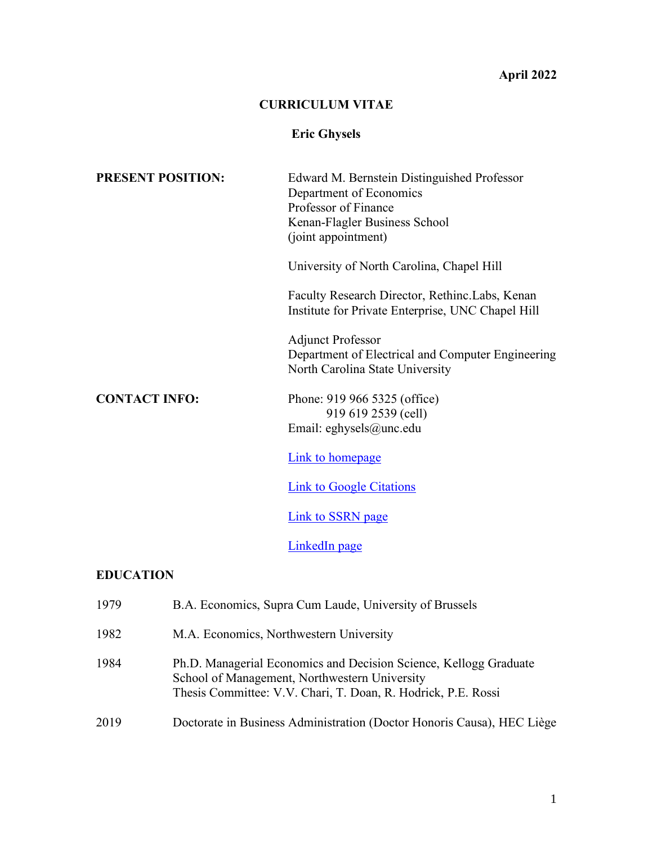#### **April 2022**

#### **CURRICULUM VITAE**

# **Eric Ghysels**

| <b>PRESENT POSITION:</b> | Edward M. Bernstein Distinguished Professor<br>Department of Economics                                           |
|--------------------------|------------------------------------------------------------------------------------------------------------------|
|                          | Professor of Finance                                                                                             |
|                          | Kenan-Flagler Business School                                                                                    |
|                          | (joint appointment)                                                                                              |
|                          | University of North Carolina, Chapel Hill                                                                        |
|                          | Faculty Research Director, Rethinc. Labs, Kenan<br>Institute for Private Enterprise, UNC Chapel Hill             |
|                          | <b>Adjunct Professor</b><br>Department of Electrical and Computer Engineering<br>North Carolina State University |
| <b>CONTACT INFO:</b>     | Phone: 919 966 5325 (office)<br>919 619 2539 (cell)<br>Email: eghysels@unc.edu                                   |
|                          | Link to homepage                                                                                                 |
|                          | <b>Link to Google Citations</b>                                                                                  |
|                          | Link to SSRN page                                                                                                |
|                          | LinkedIn page                                                                                                    |
| <b>EDUCATION</b>         |                                                                                                                  |
| 1979                     | B.A. Economics, Supra Cum Laude, University of Brussels                                                          |

| 1982 | M.A. Economics, Northwestern University |  |
|------|-----------------------------------------|--|
|------|-----------------------------------------|--|

- 1984 Ph.D. Managerial Economics and Decision Science, Kellogg Graduate School of Management, Northwestern University Thesis Committee: V.V. Chari, T. Doan, R. Hodrick, P.E. Rossi
- 2019 Doctorate in Business Administration (Doctor Honoris Causa), HEC Liège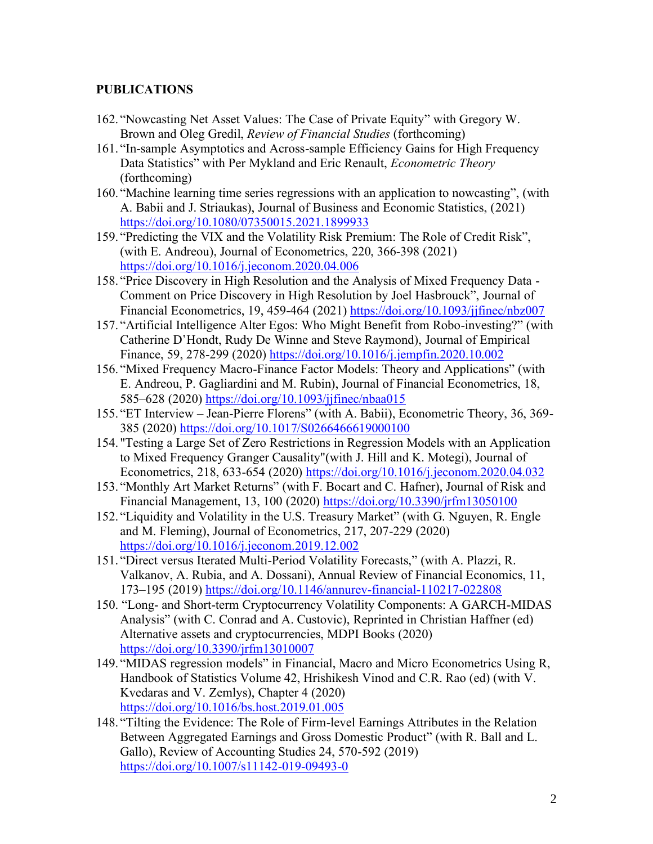### **PUBLICATIONS**

- 162. "Nowcasting Net Asset Values: The Case of Private Equity" with Gregory W. Brown and Oleg Gredil, *Review of Financial Studies* (forthcoming)
- 161. "In-sample Asymptotics and Across-sample Efficiency Gains for High Frequency Data Statistics" with Per Mykland and Eric Renault, *Econometric Theory* (forthcoming)
- 160. "Machine learning time series regressions with an application to nowcasting", (with A. Babii and J. Striaukas), Journal of Business and Economic Statistics, (2021) <https://doi.org/10.1080/07350015.2021.1899933>
- 159. "Predicting the VIX and the Volatility Risk Premium: The Role of Credit Risk", (with E. Andreou), Journal of Econometrics, 220, 366-398 (2021) <https://doi.org/10.1016/j.jeconom.2020.04.006>
- 158. "Price Discovery in High Resolution and the Analysis of Mixed Frequency Data Comment on Price Discovery in High Resolution by Joel Hasbrouck", Journal of Financial Econometrics, 19, 459-464 (2021) <https://doi.org/10.1093/jjfinec/nbz007>
- 157. "Artificial Intelligence Alter Egos: Who Might Benefit from Robo-investing?" (with Catherine D'Hondt, Rudy De Winne and Steve Raymond), Journal of Empirical Finance, 59, 278-299 (2020)<https://doi.org/10.1016/j.jempfin.2020.10.002>
- 156. "Mixed Frequency Macro-Finance Factor Models: Theory and Applications" (with E. Andreou, P. Gagliardini and M. Rubin), Journal of Financial Econometrics, 18, 585–628 (2020)<https://doi.org/10.1093/jjfinec/nbaa015>
- 155. "ET Interview Jean-Pierre Florens" (with A. Babii), Econometric Theory, 36, 369- 385 (2020)<https://doi.org/10.1017/S0266466619000100>
- 154. "Testing a Large Set of Zero Restrictions in Regression Models with an Application to Mixed Frequency Granger Causality"(with J. Hill and K. Motegi), Journal of Econometrics, 218, 633-654 (2020)<https://doi.org/10.1016/j.jeconom.2020.04.032>
- 153. "Monthly Art Market Returns" (with F. Bocart and C. Hafner), Journal of Risk and Financial Management, 13, 100 (2020)<https://doi.org/10.3390/jrfm13050100>
- 152. "Liquidity and Volatility in the U.S. Treasury Market" (with G. Nguyen, R. Engle and M. Fleming), Journal of Econometrics, 217, 207-229 (2020) <https://doi.org/10.1016/j.jeconom.2019.12.002>
- 151. "Direct versus Iterated Multi-Period Volatility Forecasts," (with A. Plazzi, R. Valkanov, A. Rubia, and A. Dossani), Annual Review of Financial Economics, 11, 173–195 (2019)<https://doi.org/10.1146/annurev-financial-110217-022808>
- 150. "Long- and Short-term Cryptocurrency Volatility Components: A GARCH-MIDAS Analysis" (with C. Conrad and A. Custovic), Reprinted in Christian Haffner (ed) Alternative assets and cryptocurrencies, MDPI Books (2020) <https://doi.org/10.3390/jrfm13010007>
- 149. "MIDAS regression models" in Financial, Macro and Micro Econometrics Using R, Handbook of Statistics Volume 42, Hrishikesh Vinod and C.R. Rao (ed) (with V. Kvedaras and V. Zemlys), Chapter 4 (2020) <https://doi.org/10.1016/bs.host.2019.01.005>
- 148. "Tilting the Evidence: The Role of Firm-level Earnings Attributes in the Relation Between Aggregated Earnings and Gross Domestic Product" (with R. Ball and L. Gallo), Review of Accounting Studies 24, 570-592 (2019) <https://doi.org/10.1007/s11142-019-09493-0>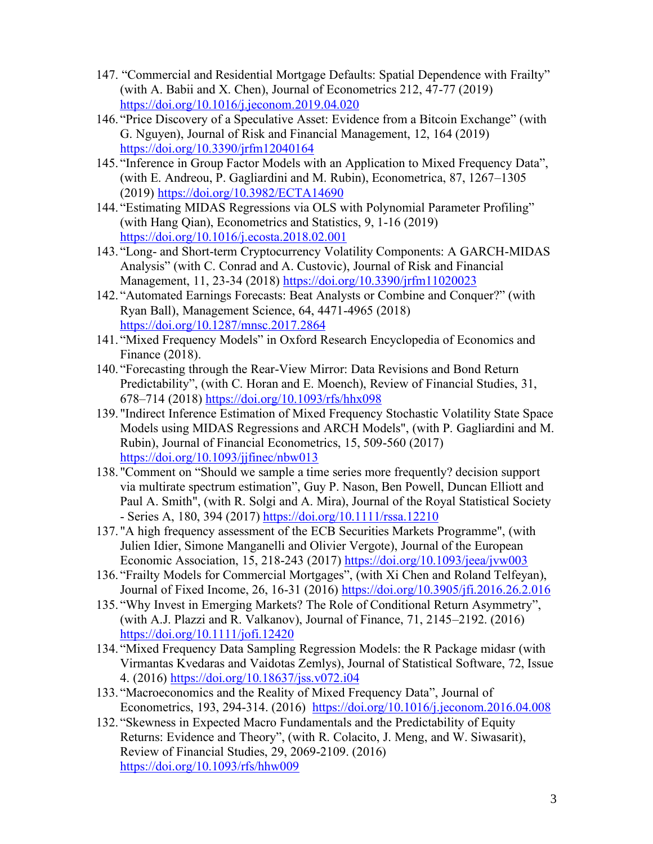- 147. "Commercial and Residential Mortgage Defaults: Spatial Dependence with Frailty" (with A. Babii and X. Chen), Journal of Econometrics 212, 47-77 (2019) <https://doi.org/10.1016/j.jeconom.2019.04.020>
- 146. "Price Discovery of a Speculative Asset: Evidence from a Bitcoin Exchange" (with G. Nguyen), Journal of Risk and Financial Management, 12, 164 (2019) <https://doi.org/10.3390/jrfm12040164>
- 145. "Inference in Group Factor Models with an Application to Mixed Frequency Data", (with E. Andreou, P. Gagliardini and M. Rubin), Econometrica, 87, 1267–1305 (2019)<https://doi.org/10.3982/ECTA14690>
- 144. "Estimating MIDAS Regressions via OLS with Polynomial Parameter Profiling" (with Hang Qian), Econometrics and Statistics, 9, 1-16 (2019) <https://doi.org/10.1016/j.ecosta.2018.02.001>
- 143. "Long- and Short-term Cryptocurrency Volatility Components: A GARCH-MIDAS Analysis" (with C. Conrad and A. Custovic), Journal of Risk and Financial Management, 11, 23-34 (2018)<https://doi.org/10.3390/jrfm11020023>
- 142. "Automated Earnings Forecasts: Beat Analysts or Combine and Conquer?" (with Ryan Ball), Management Science, 64, 4471-4965 (2018) <https://doi.org/10.1287/mnsc.2017.2864>
- 141. "Mixed Frequency Models" in Oxford Research Encyclopedia of Economics and Finance (2018).
- 140. "Forecasting through the Rear-View Mirror: Data Revisions and Bond Return Predictability", (with C. Horan and E. Moench), Review of Financial Studies, 31, 678–714 (2018)<https://doi.org/10.1093/rfs/hhx098>
- 139. "Indirect Inference Estimation of Mixed Frequency Stochastic Volatility State Space Models using MIDAS Regressions and ARCH Models", (with P. Gagliardini and M. Rubin), Journal of Financial Econometrics, 15, 509-560 (2017) <https://doi.org/10.1093/jjfinec/nbw013>
- 138. "Comment on "Should we sample a time series more frequently? decision support via multirate spectrum estimation", Guy P. Nason, Ben Powell, Duncan Elliott and Paul A. Smith", (with R. Solgi and A. Mira), Journal of the Royal Statistical Society - Series A, 180, 394 (2017)<https://doi.org/10.1111/rssa.12210>
- 137. "A high frequency assessment of the ECB Securities Markets Programme", (with Julien Idier, Simone Manganelli and Olivier Vergote), Journal of the European Economic Association, 15, 218-243 (2017) <https://doi.org/10.1093/jeea/jvw003>
- 136. "Frailty Models for Commercial Mortgages", (with Xi Chen and Roland Telfeyan), Journal of Fixed Income, 26, 16-31 (2016)<https://doi.org/10.3905/jfi.2016.26.2.016>
- 135. "Why Invest in Emerging Markets? The Role of Conditional Return Asymmetry", (with A.J. Plazzi and R. Valkanov), Journal of Finance, 71, 2145–2192. (2016) <https://doi.org/10.1111/jofi.12420>
- 134. "Mixed Frequency Data Sampling Regression Models: the R Package midasr (with Virmantas Kvedaras and Vaidotas Zemlys), Journal of Statistical Software, 72, Issue 4. (2016) https://doi.org[/10.18637/jss.v072.i04](http://dx.doi.org/10.18637/jss.v072.i04)
- 133. "Macroeconomics and the Reality of Mixed Frequency Data", Journal of Econometrics, 193, 294-314. (2016) <https://doi.org/10.1016/j.jeconom.2016.04.008>
- 132. "Skewness in Expected Macro Fundamentals and the Predictability of Equity Returns: Evidence and Theory", (with R. Colacito, J. Meng, and W. Siwasarit), Review of Financial Studies, 29, 2069-2109. (2016) <https://doi.org/10.1093/rfs/hhw009>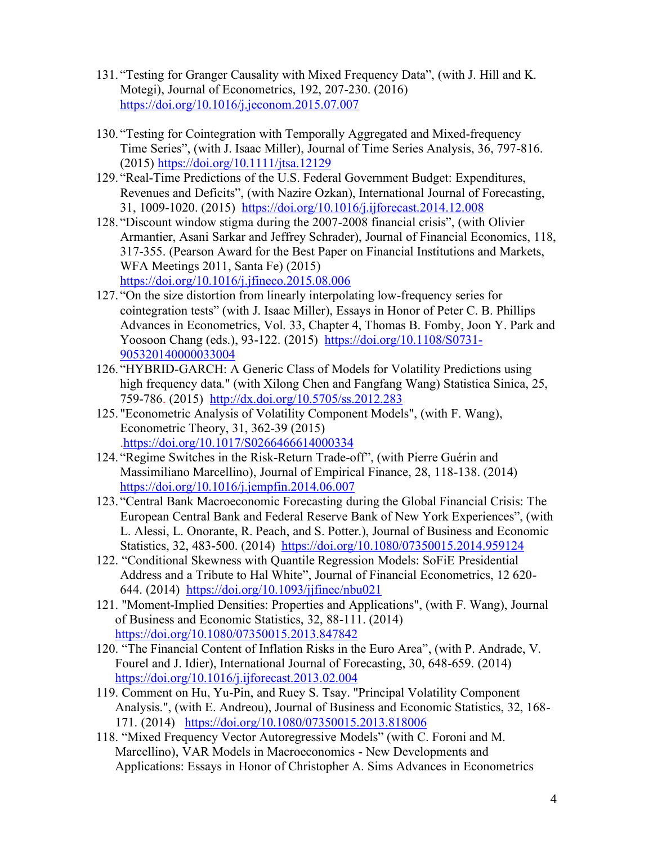- 131. "Testing for Granger Causality with Mixed Frequency Data", (with J. Hill and K. Motegi), Journal of Econometrics, 192, 207-230. (2016) <https://doi.org/10.1016/j.jeconom.2015.07.007>
- 130. "Testing for Cointegration with Temporally Aggregated and Mixed-frequency Time Series", (with J. Isaac Miller), Journal of Time Series Analysis, 36, 797-816. (2015)<https://doi.org/10.1111/jtsa.12129>
- 129. "Real-Time Predictions of the U.S. Federal Government Budget: Expenditures, Revenues and Deficits", (with Nazire Ozkan), International Journal of Forecasting, 31, 1009-1020. (2015) <https://doi.org/10.1016/j.ijforecast.2014.12.008>
- 128. "Discount window stigma during the 2007-2008 financial crisis", (with Olivier Armantier, Asani Sarkar and Jeffrey Schrader), Journal of Financial Economics, 118, 317-355. (Pearson Award for the Best Paper on Financial Institutions and Markets, WFA Meetings 2011, Santa Fe) (2015) <https://doi.org/10.1016/j.jfineco.2015.08.006>
- 127. "On the size distortion from linearly interpolating low-frequency series for cointegration tests" (with J. Isaac Miller), Essays in Honor of Peter C. B. Phillips Advances in Econometrics, Vol. 33, Chapter 4, Thomas B. Fomby, Joon Y. Park and Yoosoon Chang (eds.), 93-122. (2015) [https://doi.org/10.1108/S0731-](https://doi.org/10.1108/S0731-905320140000033004) [905320140000033004](https://doi.org/10.1108/S0731-905320140000033004)
- 126. "HYBRID-GARCH: A Generic Class of Models for Volatility Predictions using high frequency data." (with Xilong Chen and Fangfang Wang) Statistica Sinica, 25, 759-786. (2015) <http://dx.doi.org/10.5705/ss.2012.283>
- 125. "Econometric Analysis of Volatility Component Models", (with F. Wang), Econometric Theory, 31, 362-39 (2015) [.https://doi.org/10.1017/S0266466614000334](https://doi.org/10.1017/S0266466614000334)
- 124. "Regime Switches in the Risk-Return Trade-off", (with Pierre Guérin and Massimiliano Marcellino), Journal of Empirical Finance, 28, 118-138. (2014) <https://doi.org/10.1016/j.jempfin.2014.06.007>
- 123. "Central Bank Macroeconomic Forecasting during the Global Financial Crisis: The European Central Bank and Federal Reserve Bank of New York Experiences", (with L. Alessi, L. Onorante, R. Peach, and S. Potter.), Journal of Business and Economic Statistics, 32, 483-500. (2014) <https://doi.org/10.1080/07350015.2014.959124>
- 122. "Conditional Skewness with Quantile Regression Models: SoFiE Presidential Address and a Tribute to Hal White", Journal of Financial Econometrics, 12 620- 644. (2014) <https://doi.org/10.1093/jjfinec/nbu021>
- 121. "Moment-Implied Densities: Properties and Applications", (with F. Wang), Journal of Business and Economic Statistics, 32, 88-111. (2014) <https://doi.org/10.1080/07350015.2013.847842>
- 120. "The Financial Content of Inflation Risks in the Euro Area", (with P. Andrade, V. Fourel and J. Idier), International Journal of Forecasting, 30, 648-659. (2014) <https://doi.org/10.1016/j.ijforecast.2013.02.004>
- 119. Comment on Hu, Yu-Pin, and Ruey S. Tsay. "Principal Volatility Component Analysis.", (with E. Andreou), Journal of Business and Economic Statistics, 32, 168- 171. (2014) <https://doi.org/10.1080/07350015.2013.818006>
- 118. "Mixed Frequency Vector Autoregressive Models" (with C. Foroni and M. Marcellino), VAR Models in Macroeconomics - New Developments and Applications: Essays in Honor of Christopher A. Sims Advances in Econometrics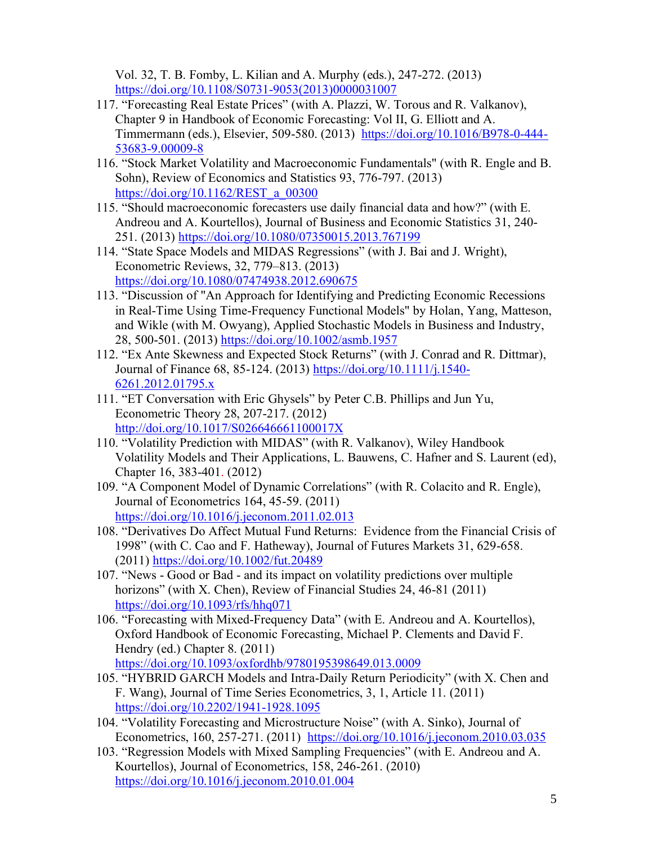Vol. 32, T. B. Fomby, L. Kilian and A. Murphy (eds.), 247-272. (2013) https://doi.org[/10.1108/S0731-9053\(2013\)0000031007](https://doi.org/10.1108/S0731-9053(2013)0000031007)

- 117. "Forecasting Real Estate Prices" (with A. Plazzi, W. Torous and R. Valkanov), Chapter 9 in Handbook of Economic Forecasting: Vol II, G. Elliott and A. Timmermann (eds.), Elsevier, 509-580. (2013) [https://doi.org/10.1016/B978-0-444-](https://doi.org/10.1016/B978-0-444-53683-9.00009-8) [53683-9.00009-8](https://doi.org/10.1016/B978-0-444-53683-9.00009-8)
- 116. "Stock Market Volatility and Macroeconomic Fundamentals" (with R. Engle and B. Sohn), Review of Economics and Statistics 93, 776-797. (2013) [https://doi.org/10.1162/REST\\_a\\_00300](https://doi.org/10.1162/REST_a_00300)
- 115. "Should macroeconomic forecasters use daily financial data and how?" (with E. Andreou and A. Kourtellos), Journal of Business and Economic Statistics 31, 240- 251. (2013) <https://doi.org/10.1080/07350015.2013.767199>
- 114. "State Space Models and MIDAS Regressions" (with J. Bai and J. Wright), Econometric Reviews, 32, 779–813. (2013) <https://doi.org/10.1080/07474938.2012.690675>
- 113. "Discussion of "An Approach for Identifying and Predicting Economic Recessions in Real-Time Using Time-Frequency Functional Models" by Holan, Yang, Matteson, and Wikle (with M. Owyang), Applied Stochastic Models in Business and Industry, 28, 500-501. (2013) <https://doi.org/10.1002/asmb.1957>
- 112. "Ex Ante Skewness and Expected Stock Returns" (with J. Conrad and R. Dittmar), Journal of Finance 68, 85-124. (2013) [https://doi.org/10.1111/j.1540-](https://doi.org/10.1111/j.1540-6261.2012.01795.x) [6261.2012.01795.x](https://doi.org/10.1111/j.1540-6261.2012.01795.x)
- 111. "ET Conversation with Eric Ghysels" by Peter C.B. Phillips and Jun Yu, Econometric Theory 28, 207-217. (2012) <http://doi.org/10.1017/S026646661100017X>
- 110. "Volatility Prediction with MIDAS" (with R. Valkanov), Wiley Handbook Volatility Models and Their Applications, L. Bauwens, C. Hafner and S. Laurent (ed), Chapter 16, 383-401. (2012)
- 109. "A Component Model of Dynamic Correlations" (with R. Colacito and R. Engle), Journal of Econometrics 164, 45-59. (2011) <https://doi.org/10.1016/j.jeconom.2011.02.013>
- 108. "Derivatives Do Affect Mutual Fund Returns: Evidence from the Financial Crisis of 1998" (with C. Cao and F. Hatheway), Journal of Futures Markets 31, 629-658. (2011)<https://doi.org/10.1002/fut.20489>
- 107. "News Good or Bad and its impact on volatility predictions over multiple horizons" (with X. Chen), Review of Financial Studies 24, 46-81 (2011) <https://doi.org/10.1093/rfs/hhq071>
- 106. "Forecasting with Mixed-Frequency Data" (with E. Andreou and A. Kourtellos), Oxford Handbook of Economic Forecasting, Michael P. Clements and David F. Hendry (ed.) Chapter 8. (2011) <https://doi.org/10.1093/oxfordhb/9780195398649.013.0009>
- 105. "HYBRID GARCH Models and Intra-Daily Return Periodicity" (with X. Chen and F. Wang), Journal of Time Series Econometrics, 3, 1, Article 11. (2011) <https://doi.org/10.2202/1941-1928.1095>
- 104. "Volatility Forecasting and Microstructure Noise" (with A. Sinko), Journal of Econometrics, 160, 257-271. (2011) <https://doi.org/10.1016/j.jeconom.2010.03.035>
- 103. "Regression Models with Mixed Sampling Frequencies" (with E. Andreou and A. Kourtellos), Journal of Econometrics, 158, 246-261. (2010) <https://doi.org/10.1016/j.jeconom.2010.01.004>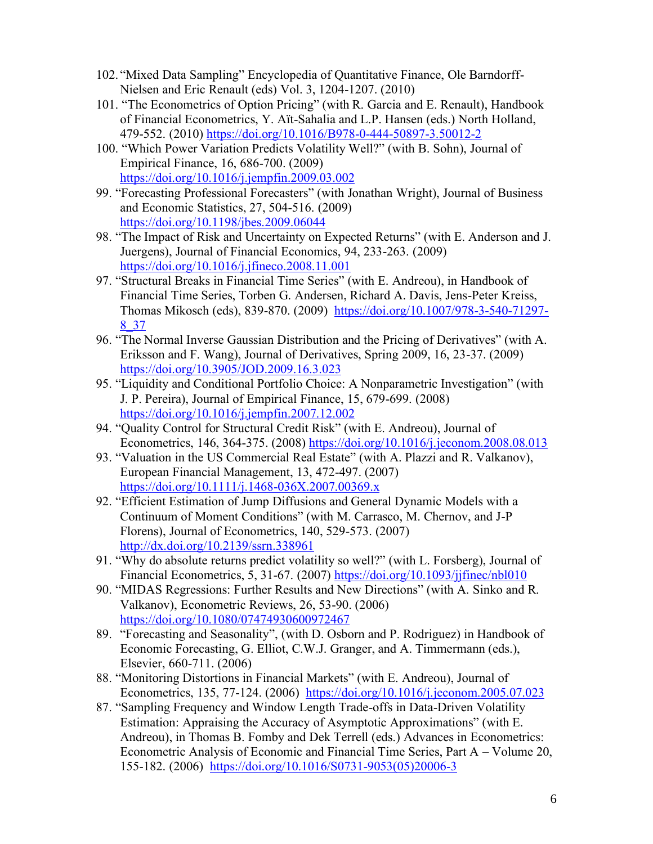- 102. "Mixed Data Sampling" Encyclopedia of Quantitative Finance, Ole Barndorff-Nielsen and Eric Renault (eds) Vol. 3, 1204-1207. (2010)
- 101. "The Econometrics of Option Pricing" (with R. Garcia and E. Renault), Handbook of Financial Econometrics, Y. Aït-Sahalia and L.P. Hansen (eds.) North Holland, 479-552. (2010) <https://doi.org/10.1016/B978-0-444-50897-3.50012-2>
- 100. "Which Power Variation Predicts Volatility Well?" (with B. Sohn), Journal of Empirical Finance, 16, 686-700. (2009) <https://doi.org/10.1016/j.jempfin.2009.03.002>
- 99. "Forecasting Professional Forecasters" (with Jonathan Wright), Journal of Business and Economic Statistics, 27, 504-516. (2009) <https://doi.org/10.1198/jbes.2009.06044>
- 98. "The Impact of Risk and Uncertainty on Expected Returns" (with E. Anderson and J. Juergens), Journal of Financial Economics, 94, 233-263. (2009) <https://doi.org/10.1016/j.jfineco.2008.11.001>
- 97. "Structural Breaks in Financial Time Series" (with E. Andreou), in Handbook of Financial Time Series, Torben G. Andersen, Richard A. Davis, Jens-Peter Kreiss, Thomas Mikosch (eds), 839-870. (2009) [https://doi.org/10.1007/978-3-540-71297-](https://doi.org/10.1007/978-3-540-71297-8_37) [8\\_37](https://doi.org/10.1007/978-3-540-71297-8_37)
- 96. "The Normal Inverse Gaussian Distribution and the Pricing of Derivatives" (with A. Eriksson and F. Wang), Journal of Derivatives, Spring 2009, 16, 23-37. (2009) <https://doi.org/10.3905/JOD.2009.16.3.023>
- 95. "Liquidity and Conditional Portfolio Choice: A Nonparametric Investigation" (with J. P. Pereira), Journal of Empirical Finance, 15, 679-699. (2008) <https://doi.org/10.1016/j.jempfin.2007.12.002>
- 94. "Quality Control for Structural Credit Risk" (with E. Andreou), Journal of Econometrics, 146, 364-375. (2008) <https://doi.org/10.1016/j.jeconom.2008.08.013>
- 93. "Valuation in the US Commercial Real Estate" (with A. Plazzi and R. Valkanov), European Financial Management, 13, 472-497. (2007) <https://doi.org/10.1111/j.1468-036X.2007.00369.x>
- 92. "Efficient Estimation of Jump Diffusions and General Dynamic Models with a Continuum of Moment Conditions" (with M. Carrasco, M. Chernov, and J-P Florens), Journal of Econometrics, 140, 529-573. (2007) <http://dx.doi.org/10.2139/ssrn.338961>
- 91. "Why do absolute returns predict volatility so well?" (with L. Forsberg), Journal of Financial Econometrics, 5, 31-67. (2007) <https://doi.org/10.1093/jjfinec/nbl010>
- 90. "MIDAS Regressions: Further Results and New Directions" (with A. Sinko and R. Valkanov), Econometric Reviews, 26, 53-90. (2006) <https://doi.org/10.1080/07474930600972467>
- 89. "Forecasting and Seasonality", (with D. Osborn and P. Rodriguez) in Handbook of Economic Forecasting, G. Elliot, C.W.J. Granger, and A. Timmermann (eds.), Elsevier, 660-711. (2006)
- 88. "Monitoring Distortions in Financial Markets" (with E. Andreou), Journal of Econometrics, 135, 77-124. (2006) <https://doi.org/10.1016/j.jeconom.2005.07.023>
- 87. "Sampling Frequency and Window Length Trade-offs in Data-Driven Volatility Estimation: Appraising the Accuracy of Asymptotic Approximations" (with E. Andreou), in Thomas B. Fomby and Dek Terrell (eds.) Advances in Econometrics: Econometric Analysis of Economic and Financial Time Series, Part A – Volume 20, 155-182. (2006) [https://doi.org/10.1016/S0731-9053\(05\)20006-3](https://doi.org/10.1016/S0731-9053(05)20006-3)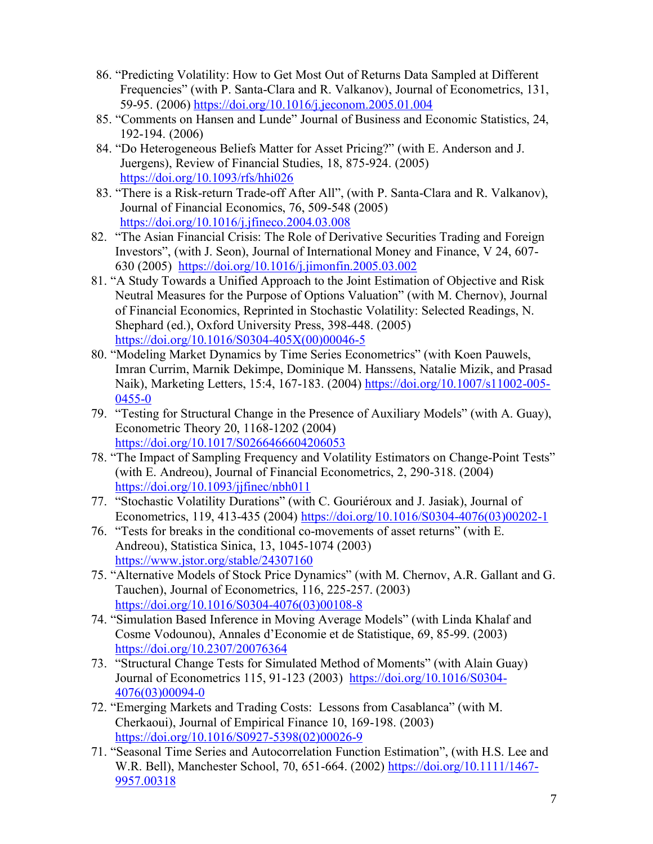- 86. "Predicting Volatility: How to Get Most Out of Returns Data Sampled at Different Frequencies" (with P. Santa-Clara and R. Valkanov), Journal of Econometrics, 131, 59-95. (2006) <https://doi.org/10.1016/j.jeconom.2005.01.004>
- 85. "Comments on Hansen and Lunde" Journal of Business and Economic Statistics, 24, 192-194. (2006)
- 84. "Do Heterogeneous Beliefs Matter for Asset Pricing?" (with E. Anderson and J. Juergens), Review of Financial Studies, 18, 875-924. (2005) <https://doi.org/10.1093/rfs/hhi026>
- 83. "There is a Risk-return Trade-off After All", (with P. Santa-Clara and R. Valkanov), Journal of Financial Economics, 76, 509-548 (2005) <https://doi.org/10.1016/j.jfineco.2004.03.008>
- 82. "The Asian Financial Crisis: The Role of Derivative Securities Trading and Foreign Investors", (with J. Seon), Journal of International Money and Finance, V 24, 607- 630 (2005) <https://doi.org/10.1016/j.jimonfin.2005.03.002>
- 81. "A Study Towards a Unified Approach to the Joint Estimation of Objective and Risk Neutral Measures for the Purpose of Options Valuation" (with M. Chernov), Journal of Financial Economics, Reprinted in Stochastic Volatility: Selected Readings, N. Shephard (ed.), Oxford University Press, 398-448. (2005) [https://doi.org/10.1016/S0304-405X\(00\)00046-5](https://doi.org/10.1016/S0304-405X(00)00046-5)
- 80. "Modeling Market Dynamics by Time Series Econometrics" (with Koen Pauwels, Imran Currim, Marnik Dekimpe, Dominique M. Hanssens, Natalie Mizik, and Prasad Naik), Marketing Letters, 15:4, 167-183. (2004) [https://doi.org/10.1007/s11002-005-](https://doi.org/10.1007/s11002-005-0455-0) [0455-0](https://doi.org/10.1007/s11002-005-0455-0)
- 79. "Testing for Structural Change in the Presence of Auxiliary Models" (with A. Guay), Econometric Theory 20, 1168-1202 (2004) <https://doi.org/10.1017/S0266466604206053>
- 78. "The Impact of Sampling Frequency and Volatility Estimators on Change-Point Tests" (with E. Andreou), Journal of Financial Econometrics, 2, 290-318. (2004) <https://doi.org/10.1093/jjfinec/nbh011>
- 77. "Stochastic Volatility Durations" (with C. Gouriéroux and J. Jasiak), Journal of Econometrics, 119, 413-435 (2004) [https://doi.org/10.1016/S0304-4076\(03\)00202-1](https://doi.org/10.1016/S0304-4076(03)00202-1)
- 76. "Tests for breaks in the conditional co-movements of asset returns" (with E. Andreou), Statistica Sinica, 13, 1045-1074 (2003) <https://www.jstor.org/stable/24307160>
- 75. "Alternative Models of Stock Price Dynamics" (with M. Chernov, A.R. Gallant and G. Tauchen), Journal of Econometrics, 116, 225-257. (2003) [https://doi.org/10.1016/S0304-4076\(03\)00108-8](https://doi.org/10.1016/S0304-4076(03)00108-8)
- 74. "Simulation Based Inference in Moving Average Models" (with Linda Khalaf and Cosme Vodounou), Annales d'Economie et de Statistique, 69, 85-99. (2003) <https://doi.org/10.2307/20076364>
- 73. "Structural Change Tests for Simulated Method of Moments" (with Alain Guay) Journal of Econometrics 115, 91-123 (2003) [https://doi.org/10.1016/S0304-](https://doi.org/10.1016/S0304-4076(03)00094-0) [4076\(03\)00094-0](https://doi.org/10.1016/S0304-4076(03)00094-0)
- 72. "Emerging Markets and Trading Costs: Lessons from Casablanca" (with M. Cherkaoui), Journal of Empirical Finance 10, 169-198. (2003) [https://doi.org/10.1016/S0927-5398\(02\)00026-9](https://doi.org/10.1016/S0927-5398(02)00026-9)
- 71. "Seasonal Time Series and Autocorrelation Function Estimation", (with H.S. Lee and W.R. Bell), Manchester School, 70, 651-664. (2002) [https://doi.org/10.1111/1467-](https://doi.org/10.1111/1467-9957.00318) [9957.00318](https://doi.org/10.1111/1467-9957.00318)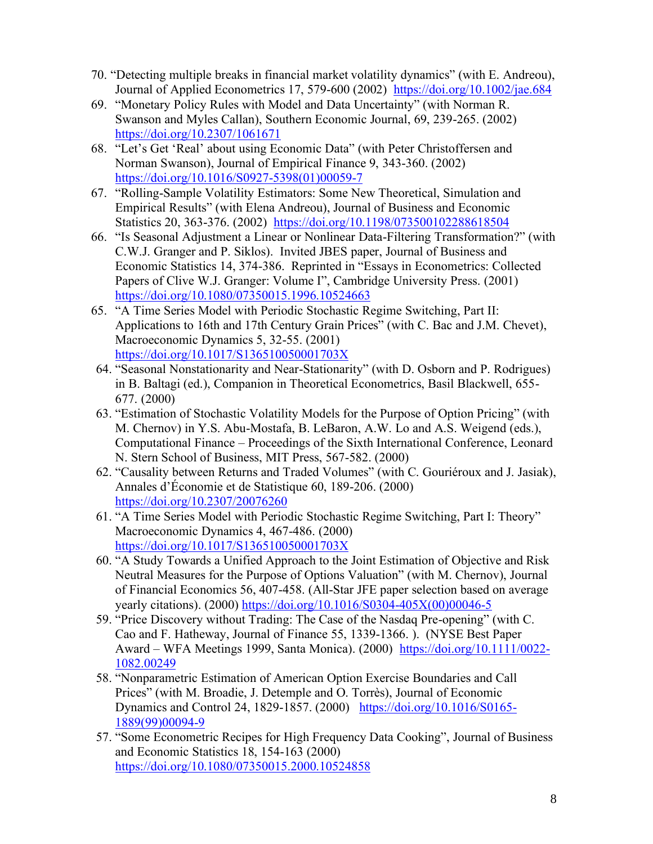- 70. "Detecting multiple breaks in financial market volatility dynamics" (with E. Andreou), Journal of Applied Econometrics 17, 579-600 (2002) <https://doi.org/10.1002/jae.684>
- 69. "Monetary Policy Rules with Model and Data Uncertainty" (with Norman R. Swanson and Myles Callan), Southern Economic Journal, 69, 239-265. (2002) <https://doi.org/10.2307/1061671>
- 68. "Let's Get 'Real' about using Economic Data" (with Peter Christoffersen and Norman Swanson), Journal of Empirical Finance 9, 343-360. (2002) [https://doi.org/10.1016/S0927-5398\(01\)00059-7](https://doi.org/10.1016/S0927-5398(01)00059-7)
- 67. "Rolling-Sample Volatility Estimators: Some New Theoretical, Simulation and Empirical Results" (with Elena Andreou), Journal of Business and Economic Statistics 20, 363-376. (2002) <https://doi.org/10.1198/073500102288618504>
- 66. "Is Seasonal Adjustment a Linear or Nonlinear Data-Filtering Transformation?" (with C.W.J. Granger and P. Siklos). Invited JBES paper, Journal of Business and Economic Statistics 14, 374-386. Reprinted in "Essays in Econometrics: Collected Papers of Clive W.J. Granger: Volume I", Cambridge University Press. (2001) https://doi.org[/10.1080/07350015.1996.10524663](https://doi.org/10.1080/07350015.1996.10524663)
- 65. "A Time Series Model with Periodic Stochastic Regime Switching, Part II: Applications to 16th and 17th Century Grain Prices" (with C. Bac and J.M. Chevet), Macroeconomic Dynamics 5, 32-55. (2001) <https://doi.org/10.1017/S136510050001703X>
- 64. "Seasonal Nonstationarity and Near-Stationarity" (with D. Osborn and P. Rodrigues) in B. Baltagi (ed.), Companion in Theoretical Econometrics, Basil Blackwell, 655- 677. (2000)
- 63. "Estimation of Stochastic Volatility Models for the Purpose of Option Pricing" (with M. Chernov) in Y.S. Abu-Mostafa, B. LeBaron, A.W. Lo and A.S. Weigend (eds.), Computational Finance – Proceedings of the Sixth International Conference, Leonard N. Stern School of Business, MIT Press, 567-582. (2000)
- 62. "Causality between Returns and Traded Volumes" (with C. Gouriéroux and J. Jasiak), Annales d'Économie et de Statistique 60, 189-206. (2000) <https://doi.org/10.2307/20076260>
- 61. "A Time Series Model with Periodic Stochastic Regime Switching, Part I: Theory" Macroeconomic Dynamics 4, 467-486. (2000) <https://doi.org/10.1017/S136510050001703X>
- 60. "A Study Towards a Unified Approach to the Joint Estimation of Objective and Risk Neutral Measures for the Purpose of Options Valuation" (with M. Chernov), Journal of Financial Economics 56, 407-458. (All-Star JFE paper selection based on average yearly citations). (2000) [https://doi.org/10.1016/S0304-405X\(00\)00046-5](https://doi.org/10.1016/S0304-405X(00)00046-5)
- 59. "Price Discovery without Trading: The Case of the Nasdaq Pre-opening" (with C. Cao and F. Hatheway, Journal of Finance 55, 1339-1366. ). (NYSE Best Paper Award – WFA Meetings 1999, Santa Monica). (2000) [https://doi.org/10.1111/0022-](https://doi.org/10.1111/0022-1082.00249) [1082.00249](https://doi.org/10.1111/0022-1082.00249)
- 58. "Nonparametric Estimation of American Option Exercise Boundaries and Call Prices" (with M. Broadie, J. Detemple and O. Torrès), Journal of Economic Dynamics and Control 24, 1829-1857. (2000) [https://doi.org/10.1016/S0165-](https://doi.org/10.1016/S0165-1889(99)00094-9) [1889\(99\)00094-9](https://doi.org/10.1016/S0165-1889(99)00094-9)
- 57. "Some Econometric Recipes for High Frequency Data Cooking", Journal of Business and Economic Statistics 18, 154-163 (2000) https://doi.org[/10.1080/07350015.2000.10524858](https://doi.org/10.1080/07350015.2000.10524858)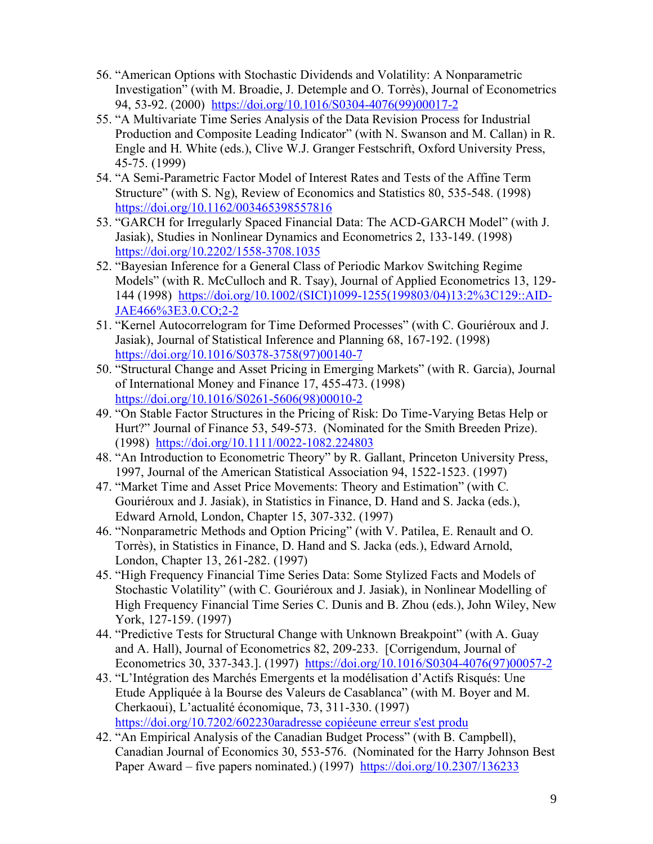- 56. "American Options with Stochastic Dividends and Volatility: A Nonparametric Investigation" (with M. Broadie, J. Detemple and O. Torrès), Journal of Econometrics 94, 53-92. (2000) [https://doi.org/10.1016/S0304-4076\(99\)00017-2](https://doi.org/10.1016/S0304-4076(99)00017-2)
- 55. "A Multivariate Time Series Analysis of the Data Revision Process for Industrial Production and Composite Leading Indicator" (with N. Swanson and M. Callan) in R. Engle and H. White (eds.), Clive W.J. Granger Festschrift, Oxford University Press, 45-75. (1999)
- 54. "A Semi-Parametric Factor Model of Interest Rates and Tests of the Affine Term Structure" (with S. Ng), Review of Economics and Statistics 80, 535-548. (1998) <https://doi.org/10.1162/003465398557816>
- 53. "GARCH for Irregularly Spaced Financial Data: The ACD-GARCH Model" (with J. Jasiak), Studies in Nonlinear Dynamics and Econometrics 2, 133-149. (1998) <https://doi.org/10.2202/1558-3708.1035>
- 52. "Bayesian Inference for a General Class of Periodic Markov Switching Regime Models" (with R. McCulloch and R. Tsay), Journal of Applied Econometrics 13, 129- 144 (1998) [https://doi.org/10.1002/\(SICI\)1099-1255\(199803/04\)13:2%3C129::AID-](https://doi.org/10.1002/(SICI)1099-1255(199803/04)13:2%3C129::AID-JAE466%3E3.0.CO;2-2)[JAE466%3E3.0.CO;2-2](https://doi.org/10.1002/(SICI)1099-1255(199803/04)13:2%3C129::AID-JAE466%3E3.0.CO;2-2)
- 51. "Kernel Autocorrelogram for Time Deformed Processes" (with C. Gouriéroux and J. Jasiak), Journal of Statistical Inference and Planning 68, 167-192. (1998) [https://doi.org/10.1016/S0378-3758\(97\)00140-7](https://doi.org/10.1016/S0378-3758(97)00140-7)
- 50. "Structural Change and Asset Pricing in Emerging Markets" (with R. Garcia), Journal of International Money and Finance 17, 455-473. (1998) [https://doi.org/10.1016/S0261-5606\(98\)00010-2](https://doi.org/10.1016/S0261-5606(98)00010-2)
- 49. "On Stable Factor Structures in the Pricing of Risk: Do Time-Varying Betas Help or Hurt?" Journal of Finance 53, 549-573. (Nominated for the Smith Breeden Prize). (1998) <https://doi.org/10.1111/0022-1082.224803>
- 48. "An Introduction to Econometric Theory" by R. Gallant, Princeton University Press, 1997, Journal of the American Statistical Association 94, 1522-1523. (1997)
- 47. "Market Time and Asset Price Movements: Theory and Estimation" (with C. Gouriéroux and J. Jasiak), in Statistics in Finance, D. Hand and S. Jacka (eds.), Edward Arnold, London, Chapter 15, 307-332. (1997)
- 46. "Nonparametric Methods and Option Pricing" (with V. Patilea, E. Renault and O. Torrès), in Statistics in Finance, D. Hand and S. Jacka (eds.), Edward Arnold, London, Chapter 13, 261-282. (1997)
- 45. "High Frequency Financial Time Series Data: Some Stylized Facts and Models of Stochastic Volatility" (with C. Gouriéroux and J. Jasiak), in Nonlinear Modelling of High Frequency Financial Time Series C. Dunis and B. Zhou (eds.), John Wiley, New York, 127-159. (1997)
- 44. "Predictive Tests for Structural Change with Unknown Breakpoint" (with A. Guay and A. Hall), Journal of Econometrics 82, 209-233. [Corrigendum, Journal of Econometrics 30, 337-343.]. (1997) [https://doi.org/10.1016/S0304-4076\(97\)00057-2](https://doi.org/10.1016/S0304-4076(97)00057-2)
- 43. "L'Intégration des Marchés Emergents et la modélisation d'Actifs Risqués: Une Etude Appliquée à la Bourse des Valeurs de Casablanca" (with M. Boyer and M. Cherkaoui), L'actualité économique, 73, 311-330. (1997) [https://doi.org/10.7202/602230aradresse copiéeune erreur s'est produ](https://doi.org/10.7202/602230ar)
- 42. "An Empirical Analysis of the Canadian Budget Process" (with B. Campbell), Canadian Journal of Economics 30, 553-576. (Nominated for the Harry Johnson Best Paper Award – five papers nominated.) (1997) <https://doi.org/10.2307/136233>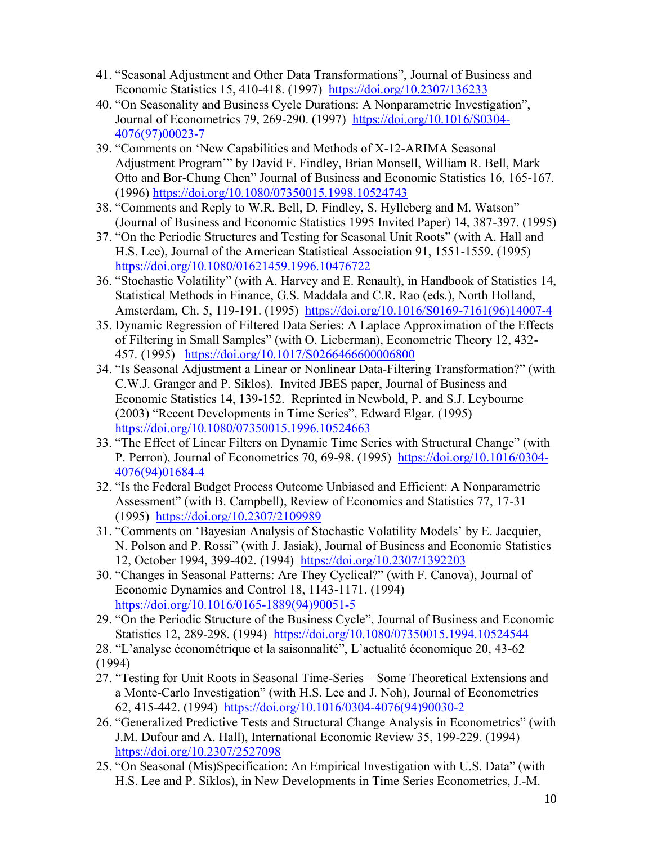- 41. "Seasonal Adjustment and Other Data Transformations", Journal of Business and Economic Statistics 15, 410-418. (1997) <https://doi.org/10.2307/136233>
- 40. "On Seasonality and Business Cycle Durations: A Nonparametric Investigation", Journal of Econometrics 79, 269-290. (1997) [https://doi.org/10.1016/S0304-](https://doi.org/10.1016/S0304-4076(97)00023-7) [4076\(97\)00023-7](https://doi.org/10.1016/S0304-4076(97)00023-7)
- 39. "Comments on 'New Capabilities and Methods of X-12-ARIMA Seasonal Adjustment Program'" by David F. Findley, Brian Monsell, William R. Bell, Mark Otto and Bor-Chung Chen" Journal of Business and Economic Statistics 16, 165-167. (1996) <https://doi.org/10.1080/07350015.1998.10524743>
- 38. "Comments and Reply to W.R. Bell, D. Findley, S. Hylleberg and M. Watson" (Journal of Business and Economic Statistics 1995 Invited Paper) 14, 387-397. (1995)
- 37. "On the Periodic Structures and Testing for Seasonal Unit Roots" (with A. Hall and H.S. Lee), Journal of the American Statistical Association 91, 1551-1559. (1995) https://doi.org[/10.1080/01621459.1996.10476722](https://doi.org/10.1080/01621459.1996.10476722)
- 36. "Stochastic Volatility" (with A. Harvey and E. Renault), in Handbook of Statistics 14, Statistical Methods in Finance, G.S. Maddala and C.R. Rao (eds.), North Holland, Amsterdam, Ch. 5, 119-191. (1995) [https://doi.org/10.1016/S0169-7161\(96\)14007-4](https://doi.org/10.1016/S0169-7161(96)14007-4)
- 35. Dynamic Regression of Filtered Data Series: A Laplace Approximation of the Effects of Filtering in Small Samples" (with O. Lieberman), Econometric Theory 12, 432- 457. (1995) https://doi.org[/10.1017/S0266466600006800](https://doi.org/10.1017/S0266466600006800)
- 34. "Is Seasonal Adjustment a Linear or Nonlinear Data-Filtering Transformation?" (with C.W.J. Granger and P. Siklos). Invited JBES paper, Journal of Business and Economic Statistics 14, 139-152. Reprinted in Newbold, P. and S.J. Leybourne (2003) "Recent Developments in Time Series", Edward Elgar. (1995) https://doi.org[/10.1080/07350015.1996.10524663](https://doi.org/10.1080/07350015.1996.10524663)
- 33. "The Effect of Linear Filters on Dynamic Time Series with Structural Change" (with P. Perron), Journal of Econometrics 70, 69-98. (1995) [https://doi.org/10.1016/0304-](https://doi.org/10.1016/0304-4076(94)01684-4) [4076\(94\)01684-4](https://doi.org/10.1016/0304-4076(94)01684-4)
- 32. "Is the Federal Budget Process Outcome Unbiased and Efficient: A Nonparametric Assessment" (with B. Campbell), Review of Economics and Statistics 77, 17-31 (1995) <https://doi.org/10.2307/2109989>
- 31. "Comments on 'Bayesian Analysis of Stochastic Volatility Models' by E. Jacquier, N. Polson and P. Rossi" (with J. Jasiak), Journal of Business and Economic Statistics 12, October 1994, 399-402. (1994) <https://doi.org/10.2307/1392203>
- 30. "Changes in Seasonal Patterns: Are They Cyclical?" (with F. Canova), Journal of Economic Dynamics and Control 18, 1143-1171. (1994) [https://doi.org/10.1016/0165-1889\(94\)90051-5](https://doi.org/10.1016/0165-1889(94)90051-5)
- 29. "On the Periodic Structure of the Business Cycle", Journal of Business and Economic Statistics 12, 289-298. (1994) https://doi.org[/10.1080/07350015.1994.10524544](https://doi.org/10.1080/07350015.1994.10524544)
- 28. "L'analyse économétrique et la saisonnalité", L'actualité économique 20, 43-62 (1994)
- 27. "Testing for Unit Roots in Seasonal Time-Series Some Theoretical Extensions and a Monte-Carlo Investigation" (with H.S. Lee and J. Noh), Journal of Econometrics 62, 415-442. (1994) [https://doi.org/10.1016/0304-4076\(94\)90030-2](https://doi.org/10.1016/0304-4076(94)90030-2)
- 26. "Generalized Predictive Tests and Structural Change Analysis in Econometrics" (with J.M. Dufour and A. Hall), International Economic Review 35, 199-229. (1994) <https://doi.org/10.2307/2527098>
- 25. "On Seasonal (Mis)Specification: An Empirical Investigation with U.S. Data" (with H.S. Lee and P. Siklos), in New Developments in Time Series Econometrics, J.-M.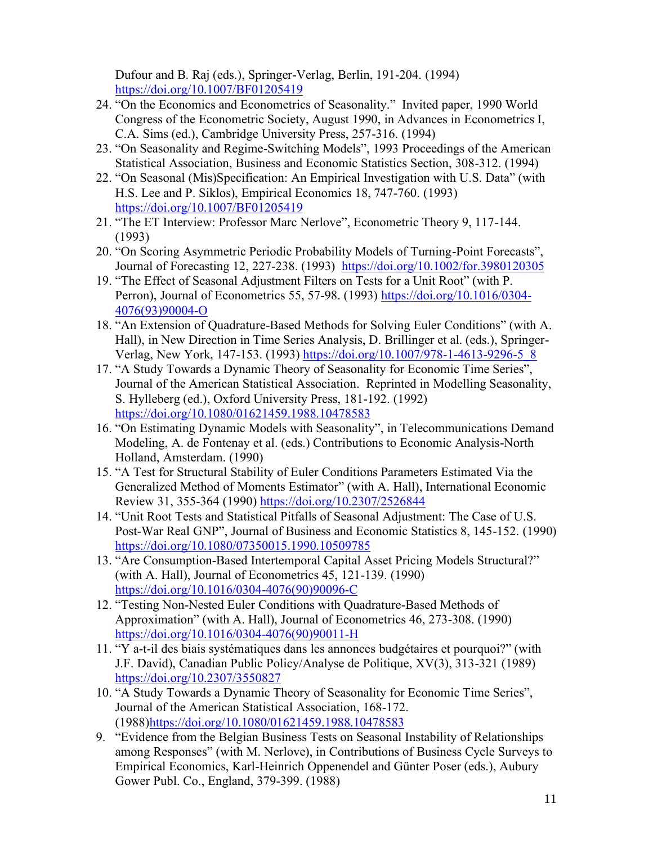Dufour and B. Raj (eds.), Springer-Verlag, Berlin, 191-204. (1994) <https://doi.org/10.1007/BF01205419>

- 24. "On the Economics and Econometrics of Seasonality." Invited paper, 1990 World Congress of the Econometric Society, August 1990, in Advances in Econometrics I, C.A. Sims (ed.), Cambridge University Press, 257-316. (1994)
- 23. "On Seasonality and Regime-Switching Models", 1993 Proceedings of the American Statistical Association, Business and Economic Statistics Section, 308-312. (1994)
- 22. "On Seasonal (Mis)Specification: An Empirical Investigation with U.S. Data" (with H.S. Lee and P. Siklos), Empirical Economics 18, 747-760. (1993) <https://doi.org/10.1007/BF01205419>
- 21. "The ET Interview: Professor Marc Nerlove", Econometric Theory 9, 117-144. (1993)
- 20. "On Scoring Asymmetric Periodic Probability Models of Turning-Point Forecasts", Journal of Forecasting 12, 227-238. (1993) <https://doi.org/10.1002/for.3980120305>
- 19. "The Effect of Seasonal Adjustment Filters on Tests for a Unit Root" (with P. Perron), Journal of Econometrics 55, 57-98. (1993) [https://doi.org/10.1016/0304-](https://doi.org/10.1016/0304-4076(93)90004-O) [4076\(93\)90004-O](https://doi.org/10.1016/0304-4076(93)90004-O)
- 18. "An Extension of Quadrature-Based Methods for Solving Euler Conditions" (with A. Hall), in New Direction in Time Series Analysis, D. Brillinger et al. (eds.), SpringerVerlag, New York, 147-153. (1993) [https://doi.org/10.1007/978-1-4613-9296-5\\_8](https://doi.org/10.1007/978-1-4613-9296-5_8)
- 17. "A Study Towards a Dynamic Theory of Seasonality for Economic Time Series", Journal of the American Statistical Association. Reprinted in Modelling Seasonality, S. Hylleberg (ed.), Oxford University Press, 181-192. (1992) https://doi.org[/10.1080/01621459.1988.10478583](https://doi.org/10.1080/01621459.1988.10478583)
- 16. "On Estimating Dynamic Models with Seasonality", in Telecommunications Demand Modeling, A. de Fontenay et al. (eds.) Contributions to Economic Analysis-North Holland, Amsterdam. (1990)
- 15. "A Test for Structural Stability of Euler Conditions Parameters Estimated Via the Generalized Method of Moments Estimator" (with A. Hall), International Economic Review 31, 355-364 (1990) <https://doi.org/10.2307/2526844>
- 14. "Unit Root Tests and Statistical Pitfalls of Seasonal Adjustment: The Case of U.S. Post-War Real GNP", Journal of Business and Economic Statistics 8, 145-152. (1990) https://doi.org[/10.1080/07350015.1990.10509785](https://doi.org/10.1080/07350015.1990.10509785)
- 13. "Are Consumption-Based Intertemporal Capital Asset Pricing Models Structural?" (with A. Hall), Journal of Econometrics 45, 121-139. (1990) [https://doi.org/10.1016/0304-4076\(90\)90096-C](https://doi.org/10.1016/0304-4076(90)90096-C)
- 12. "Testing Non-Nested Euler Conditions with Quadrature-Based Methods of Approximation" (with A. Hall), Journal of Econometrics 46, 273-308. (1990) [https://doi.org/10.1016/0304-4076\(90\)90011-H](https://doi.org/10.1016/0304-4076(90)90011-H)
- 11. "Y a-t-il des biais systématiques dans les annonces budgétaires et pourquoi?" (with J.F. David), Canadian Public Policy/Analyse de Politique, XV(3), 313-321 (1989) <https://doi.org/10.2307/3550827>
- 10. "A Study Towards a Dynamic Theory of Seasonality for Economic Time Series", Journal of the American Statistical Association, 168-172. (1988)https://doi.org[/10.1080/01621459.1988.10478583](https://doi.org/10.1080/01621459.1988.10478583)
- 9. "Evidence from the Belgian Business Tests on Seasonal Instability of Relationships among Responses" (with M. Nerlove), in Contributions of Business Cycle Surveys to Empirical Economics, Karl-Heinrich Oppenendel and Günter Poser (eds.), Aubury Gower Publ. Co., England, 379-399. (1988)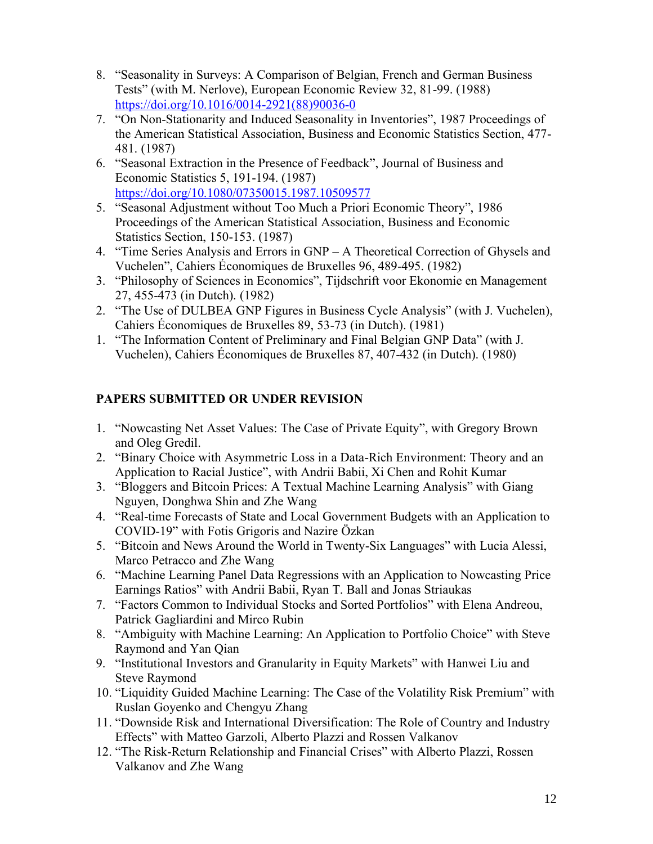- 8. "Seasonality in Surveys: A Comparison of Belgian, French and German Business Tests" (with M. Nerlove), European Economic Review 32, 81-99. (1988) [https://doi.org/10.1016/0014-2921\(88\)90036-0](https://doi.org/10.1016/0014-2921(88)90036-0)
- 7. "On Non-Stationarity and Induced Seasonality in Inventories", 1987 Proceedings of the American Statistical Association, Business and Economic Statistics Section, 477- 481. (1987)
- 6. "Seasonal Extraction in the Presence of Feedback", Journal of Business and Economic Statistics 5, 191-194. (1987) https://doi.org[/10.1080/07350015.1987.10509577](https://doi.org/10.1080/07350015.1987.10509577)
- 5. "Seasonal Adjustment without Too Much a Priori Economic Theory", 1986 Proceedings of the American Statistical Association, Business and Economic Statistics Section, 150-153. (1987)
- 4. "Time Series Analysis and Errors in GNP A Theoretical Correction of Ghysels and Vuchelen", Cahiers Économiques de Bruxelles 96, 489-495. (1982)
- 3. "Philosophy of Sciences in Economics", Tijdschrift voor Ekonomie en Management 27, 455-473 (in Dutch). (1982)
- 2. "The Use of DULBEA GNP Figures in Business Cycle Analysis" (with J. Vuchelen), Cahiers Économiques de Bruxelles 89, 53-73 (in Dutch). (1981)
- 1. "The Information Content of Preliminary and Final Belgian GNP Data" (with J. Vuchelen), Cahiers Économiques de Bruxelles 87, 407-432 (in Dutch). (1980)

# **PAPERS SUBMITTED OR UNDER REVISION**

- 1. "Nowcasting Net Asset Values: The Case of Private Equity", with Gregory Brown and Oleg Gredil.
- 2. "Binary Choice with Asymmetric Loss in a Data-Rich Environment: Theory and an Application to Racial Justice", with Andrii Babii, Xi Chen and Rohit Kumar
- 3. "Bloggers and Bitcoin Prices: A Textual Machine Learning Analysis" with Giang Nguyen, Donghwa Shin and Zhe Wang
- 4. "Real-time Forecasts of State and Local Government Budgets with an Application to COVID-19" with Fotis Grigoris and Nazire Özkan
- 5. "Bitcoin and News Around the World in Twenty-Six Languages" with Lucia Alessi, Marco Petracco and Zhe Wang
- 6. "Machine Learning Panel Data Regressions with an Application to Nowcasting Price Earnings Ratios" with Andrii Babii, Ryan T. Ball and Jonas Striaukas
- 7. "Factors Common to Individual Stocks and Sorted Portfolios" with Elena Andreou, Patrick Gagliardini and Mirco Rubin
- 8. "Ambiguity with Machine Learning: An Application to Portfolio Choice" with Steve Raymond and Yan Qian
- 9. "Institutional Investors and Granularity in Equity Markets" with Hanwei Liu and Steve Raymond
- 10. "Liquidity Guided Machine Learning: The Case of the Volatility Risk Premium" with Ruslan Goyenko and Chengyu Zhang
- 11. "Downside Risk and International Diversification: The Role of Country and Industry Effects" with Matteo Garzoli, Alberto Plazzi and Rossen Valkanov
- 12. "The Risk-Return Relationship and Financial Crises" with Alberto Plazzi, Rossen Valkanov and Zhe Wang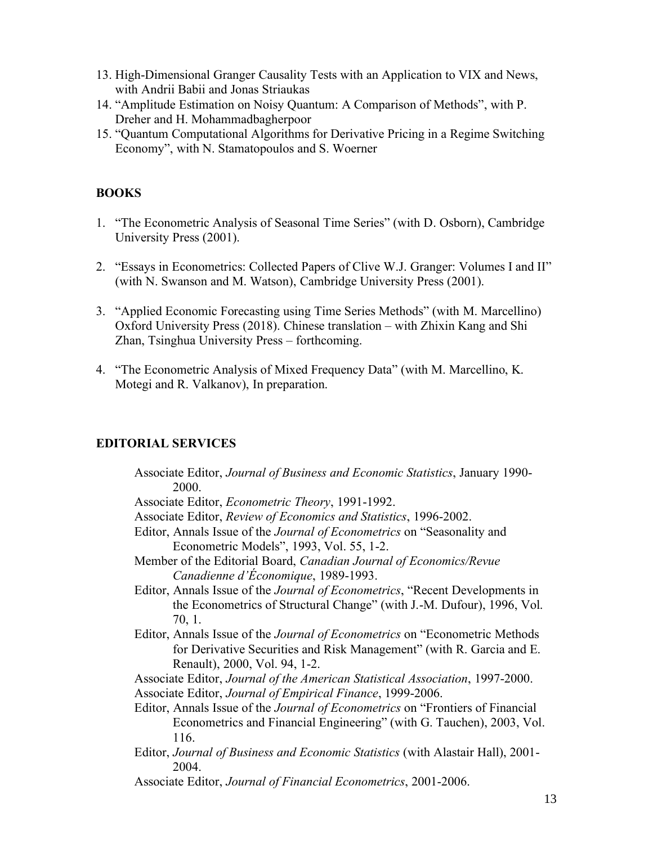- 13. High-Dimensional Granger Causality Tests with an Application to VIX and News, with Andrii Babii and Jonas Striaukas
- 14. "Amplitude Estimation on Noisy Quantum: A Comparison of Methods", with P. Dreher and H. Mohammadbagherpoor
- 15. "Quantum Computational Algorithms for Derivative Pricing in a Regime Switching Economy", with N. Stamatopoulos and S. Woerner

# **BOOKS**

- 1. "The Econometric Analysis of Seasonal Time Series" (with D. Osborn), Cambridge University Press (2001).
- 2. "Essays in Econometrics: Collected Papers of Clive W.J. Granger: Volumes I and II" (with N. Swanson and M. Watson), Cambridge University Press (2001).
- 3. "Applied Economic Forecasting using Time Series Methods" (with M. Marcellino) Oxford University Press (2018). Chinese translation – with Zhixin Kang and Shi Zhan, Tsinghua University Press – forthcoming.
- 4. "The Econometric Analysis of Mixed Frequency Data" (with M. Marcellino, K. Motegi and R. Valkanov), In preparation.

### **EDITORIAL SERVICES**

- Associate Editor, *Journal of Business and Economic Statistics*, January 1990- 2000. Associate Editor, *Econometric Theory*, 1991-1992. Associate Editor, *Review of Economics and Statistics*, 1996-2002. Editor, Annals Issue of the *Journal of Econometrics* on "Seasonality and Econometric Models", 1993, Vol. 55, 1-2. Member of the Editorial Board, *Canadian Journal of Economics/Revue Canadienne d'Économique*, 1989-1993. Editor, Annals Issue of the *Journal of Econometrics*, "Recent Developments in the Econometrics of Structural Change" (with J.-M. Dufour), 1996, Vol. 70, 1. Editor, Annals Issue of the *Journal of Econometrics* on "Econometric Methods for Derivative Securities and Risk Management" (with R. Garcia and E. Renault), 2000, Vol. 94, 1-2. Associate Editor, *Journal of the American Statistical Association*, 1997-2000. Associate Editor, *Journal of Empirical Finance*, 1999-2006. Editor, Annals Issue of the *Journal of Econometrics* on "Frontiers of Financial Econometrics and Financial Engineering" (with G. Tauchen), 2003, Vol. 116. Editor, *Journal of Business and Economic Statistics* (with Alastair Hall), 2001- 2004. Associate Editor, *Journal of Financial Econometrics*, 2001-2006.
	- 13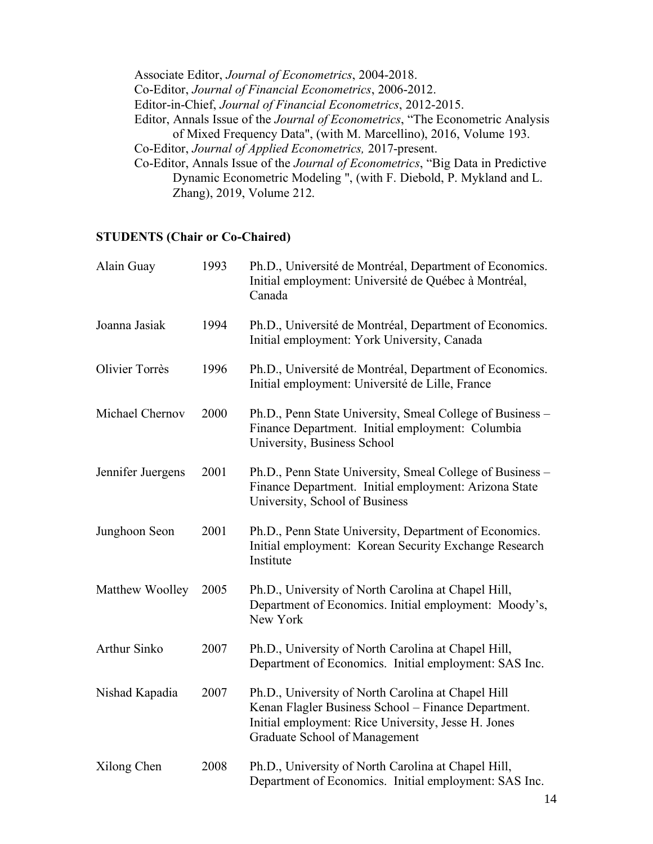Associate Editor, *Journal of Econometrics*, 2004-2018. Co-Editor, *Journal of Financial Econometrics*, 2006-2012. Editor-in-Chief, *Journal of Financial Econometrics*, 2012-2015. Editor, Annals Issue of the *Journal of Econometrics*, "The Econometric Analysis of Mixed Frequency Data", (with M. Marcellino), 2016, Volume 193. Co-Editor, *Journal of Applied Econometrics,* 2017-present. Co-Editor, Annals Issue of the *Journal of Econometrics*, "Big Data in Predictive Dynamic Econometric Modeling ", (with F. Diebold, P. Mykland and L.

# **STUDENTS (Chair or Co-Chaired)**

Zhang), 2019, Volume 212.

| Alain Guay            | 1993 | Ph.D., Université de Montréal, Department of Economics.<br>Initial employment: Université de Québec à Montréal,<br>Canada                                                                         |
|-----------------------|------|---------------------------------------------------------------------------------------------------------------------------------------------------------------------------------------------------|
| Joanna Jasiak         | 1994 | Ph.D., Université de Montréal, Department of Economics.<br>Initial employment: York University, Canada                                                                                            |
| <b>Olivier Torrès</b> | 1996 | Ph.D., Université de Montréal, Department of Economics.<br>Initial employment: Université de Lille, France                                                                                        |
| Michael Chernov       | 2000 | Ph.D., Penn State University, Smeal College of Business –<br>Finance Department. Initial employment: Columbia<br>University, Business School                                                      |
| Jennifer Juergens     | 2001 | Ph.D., Penn State University, Smeal College of Business –<br>Finance Department. Initial employment: Arizona State<br>University, School of Business                                              |
| Junghoon Seon         | 2001 | Ph.D., Penn State University, Department of Economics.<br>Initial employment: Korean Security Exchange Research<br>Institute                                                                      |
| Matthew Woolley       | 2005 | Ph.D., University of North Carolina at Chapel Hill,<br>Department of Economics. Initial employment: Moody's,<br>New York                                                                          |
| <b>Arthur Sinko</b>   | 2007 | Ph.D., University of North Carolina at Chapel Hill,<br>Department of Economics. Initial employment: SAS Inc.                                                                                      |
| Nishad Kapadia        | 2007 | Ph.D., University of North Carolina at Chapel Hill<br>Kenan Flagler Business School - Finance Department.<br>Initial employment: Rice University, Jesse H. Jones<br>Graduate School of Management |
| Xilong Chen           | 2008 | Ph.D., University of North Carolina at Chapel Hill,<br>Department of Economics. Initial employment: SAS Inc.                                                                                      |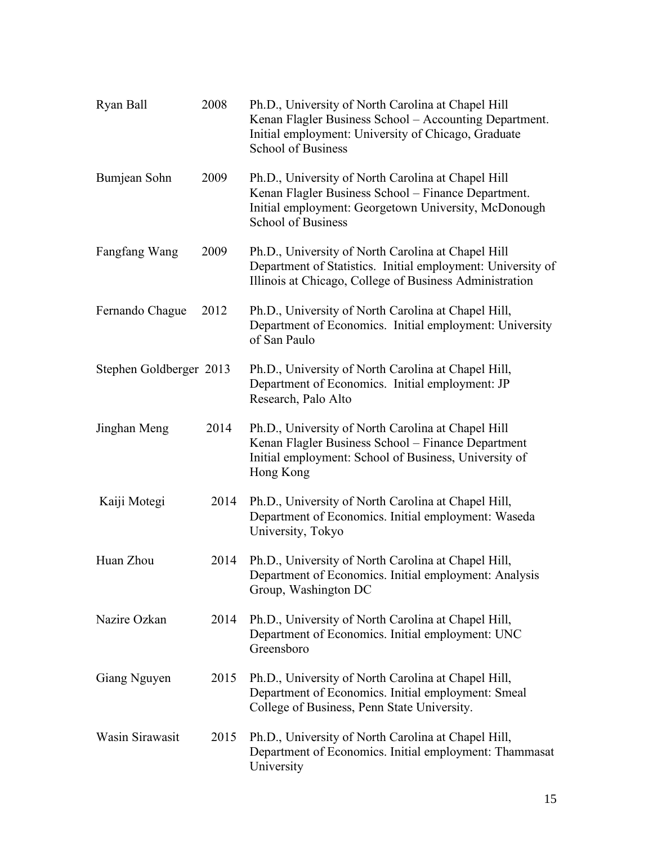| Ryan Ball               | 2008 | Ph.D., University of North Carolina at Chapel Hill<br>Kenan Flagler Business School - Accounting Department.<br>Initial employment: University of Chicago, Graduate<br><b>School of Business</b> |
|-------------------------|------|--------------------------------------------------------------------------------------------------------------------------------------------------------------------------------------------------|
| Bumjean Sohn            | 2009 | Ph.D., University of North Carolina at Chapel Hill<br>Kenan Flagler Business School - Finance Department.<br>Initial employment: Georgetown University, McDonough<br><b>School of Business</b>   |
| Fangfang Wang           | 2009 | Ph.D., University of North Carolina at Chapel Hill<br>Department of Statistics. Initial employment: University of<br>Illinois at Chicago, College of Business Administration                     |
| Fernando Chague         | 2012 | Ph.D., University of North Carolina at Chapel Hill,<br>Department of Economics. Initial employment: University<br>of San Paulo                                                                   |
| Stephen Goldberger 2013 |      | Ph.D., University of North Carolina at Chapel Hill,<br>Department of Economics. Initial employment: JP<br>Research, Palo Alto                                                                    |
| Jinghan Meng            | 2014 | Ph.D., University of North Carolina at Chapel Hill<br>Kenan Flagler Business School - Finance Department<br>Initial employment: School of Business, University of<br>Hong Kong                   |
| Kaiji Motegi            | 2014 | Ph.D., University of North Carolina at Chapel Hill,<br>Department of Economics. Initial employment: Waseda<br>University, Tokyo                                                                  |
| Huan Zhou               | 2014 | Ph.D., University of North Carolina at Chapel Hill,<br>Department of Economics. Initial employment: Analysis<br>Group, Washington DC                                                             |
| Nazire Ozkan            | 2014 | Ph.D., University of North Carolina at Chapel Hill,<br>Department of Economics. Initial employment: UNC<br>Greensboro                                                                            |
| Giang Nguyen            | 2015 | Ph.D., University of North Carolina at Chapel Hill,<br>Department of Economics. Initial employment: Smeal<br>College of Business, Penn State University.                                         |
| Wasin Sirawasit         | 2015 | Ph.D., University of North Carolina at Chapel Hill,<br>Department of Economics. Initial employment: Thammasat<br>University                                                                      |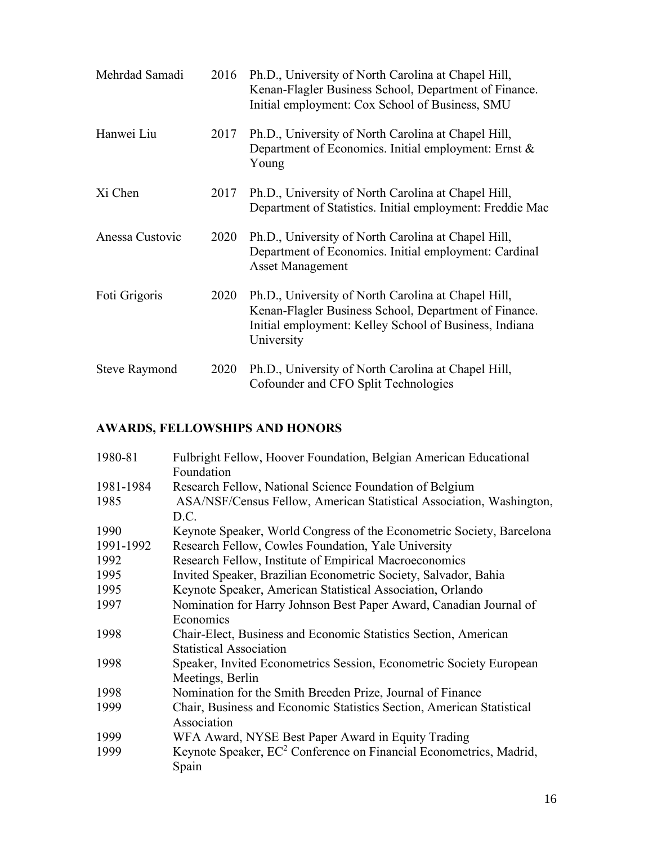| Mehrdad Samadi       | 2016 | Ph.D., University of North Carolina at Chapel Hill,<br>Kenan-Flagler Business School, Department of Finance.<br>Initial employment: Cox School of Business, SMU                      |
|----------------------|------|--------------------------------------------------------------------------------------------------------------------------------------------------------------------------------------|
| Hanwei Liu           | 2017 | Ph.D., University of North Carolina at Chapel Hill,<br>Department of Economics. Initial employment: Ernst &<br>Young                                                                 |
| Xi Chen              | 2017 | Ph.D., University of North Carolina at Chapel Hill,<br>Department of Statistics. Initial employment: Freddie Mac                                                                     |
| Anessa Custovic      | 2020 | Ph.D., University of North Carolina at Chapel Hill,<br>Department of Economics. Initial employment: Cardinal<br><b>Asset Management</b>                                              |
| Foti Grigoris        | 2020 | Ph.D., University of North Carolina at Chapel Hill,<br>Kenan-Flagler Business School, Department of Finance.<br>Initial employment: Kelley School of Business, Indiana<br>University |
| <b>Steve Raymond</b> | 2020 | Ph.D., University of North Carolina at Chapel Hill,<br>Cofounder and CFO Split Technologies                                                                                          |

# **AWARDS, FELLOWSHIPS AND HONORS**

| 1980-81   | Fulbright Fellow, Hoover Foundation, Belgian American Educational<br>Foundation         |
|-----------|-----------------------------------------------------------------------------------------|
| 1981-1984 | Research Fellow, National Science Foundation of Belgium                                 |
| 1985      | ASA/NSF/Census Fellow, American Statistical Association, Washington,<br>D.C.            |
| 1990      | Keynote Speaker, World Congress of the Econometric Society, Barcelona                   |
| 1991-1992 | Research Fellow, Cowles Foundation, Yale University                                     |
| 1992      | Research Fellow, Institute of Empirical Macroeconomics                                  |
| 1995      | Invited Speaker, Brazilian Econometric Society, Salvador, Bahia                         |
| 1995      | Keynote Speaker, American Statistical Association, Orlando                              |
| 1997      | Nomination for Harry Johnson Best Paper Award, Canadian Journal of                      |
|           | Economics                                                                               |
| 1998      | Chair-Elect, Business and Economic Statistics Section, American                         |
|           | <b>Statistical Association</b>                                                          |
| 1998      | Speaker, Invited Econometrics Session, Econometric Society European                     |
|           | Meetings, Berlin                                                                        |
| 1998      | Nomination for the Smith Breeden Prize, Journal of Finance                              |
| 1999      | Chair, Business and Economic Statistics Section, American Statistical                   |
|           | Association                                                                             |
| 1999      | WFA Award, NYSE Best Paper Award in Equity Trading                                      |
| 1999      | Keynote Speaker, EC <sup>2</sup> Conference on Financial Econometrics, Madrid,<br>Spain |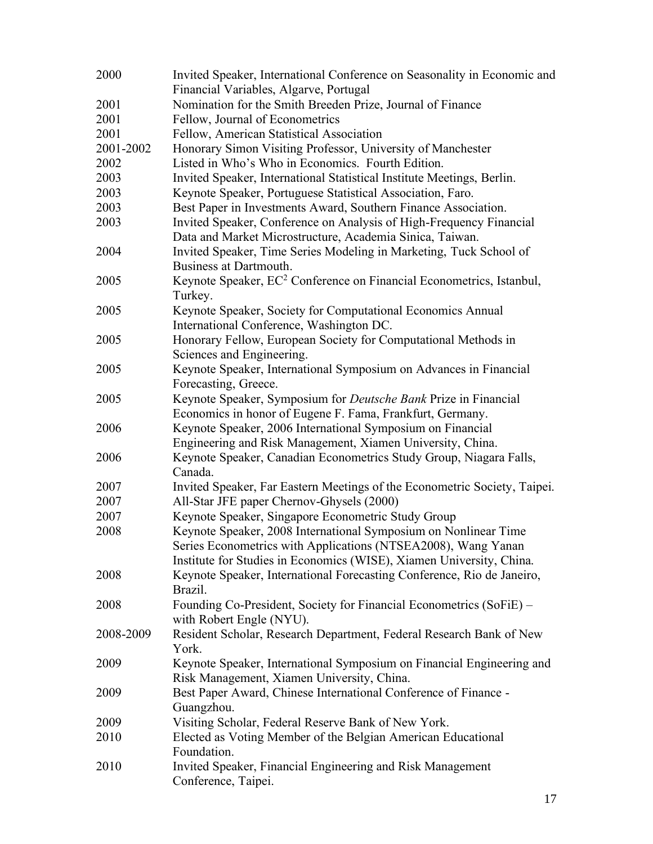| 2000      | Invited Speaker, International Conference on Seasonality in Economic and                                                              |
|-----------|---------------------------------------------------------------------------------------------------------------------------------------|
|           | Financial Variables, Algarve, Portugal                                                                                                |
| 2001      | Nomination for the Smith Breeden Prize, Journal of Finance                                                                            |
| 2001      | Fellow, Journal of Econometrics                                                                                                       |
| 2001      | Fellow, American Statistical Association                                                                                              |
| 2001-2002 | Honorary Simon Visiting Professor, University of Manchester                                                                           |
| 2002      | Listed in Who's Who in Economics. Fourth Edition.                                                                                     |
| 2003      | Invited Speaker, International Statistical Institute Meetings, Berlin.                                                                |
| 2003      | Keynote Speaker, Portuguese Statistical Association, Faro.                                                                            |
| 2003      | Best Paper in Investments Award, Southern Finance Association.                                                                        |
| 2003      | Invited Speaker, Conference on Analysis of High-Frequency Financial<br>Data and Market Microstructure, Academia Sinica, Taiwan.       |
| 2004      | Invited Speaker, Time Series Modeling in Marketing, Tuck School of<br>Business at Dartmouth.                                          |
| 2005      | Keynote Speaker, EC <sup>2</sup> Conference on Financial Econometrics, Istanbul,<br>Turkey.                                           |
| 2005      | Keynote Speaker, Society for Computational Economics Annual<br>International Conference, Washington DC.                               |
| 2005      | Honorary Fellow, European Society for Computational Methods in<br>Sciences and Engineering.                                           |
| 2005      | Keynote Speaker, International Symposium on Advances in Financial<br>Forecasting, Greece.                                             |
| 2005      | Keynote Speaker, Symposium for <i>Deutsche Bank</i> Prize in Financial<br>Economics in honor of Eugene F. Fama, Frankfurt, Germany.   |
| 2006      | Keynote Speaker, 2006 International Symposium on Financial<br>Engineering and Risk Management, Xiamen University, China.              |
| 2006      | Keynote Speaker, Canadian Econometrics Study Group, Niagara Falls,<br>Canada.                                                         |
| 2007      | Invited Speaker, Far Eastern Meetings of the Econometric Society, Taipei.                                                             |
| 2007      | All-Star JFE paper Chernov-Ghysels (2000)                                                                                             |
| 2007      | Keynote Speaker, Singapore Econometric Study Group                                                                                    |
| 2008      | Keynote Speaker, 2008 International Symposium on Nonlinear Time                                                                       |
|           | Series Econometrics with Applications (NTSEA2008), Wang Yanan<br>Institute for Studies in Economics (WISE), Xiamen University, China. |
| 2008      | Keynote Speaker, International Forecasting Conference, Rio de Janeiro,<br>Brazil.                                                     |
| 2008      | Founding Co-President, Society for Financial Econometrics (SoFiE) –<br>with Robert Engle (NYU).                                       |
| 2008-2009 | Resident Scholar, Research Department, Federal Research Bank of New<br>York.                                                          |
| 2009      | Keynote Speaker, International Symposium on Financial Engineering and<br>Risk Management, Xiamen University, China.                   |
| 2009      | Best Paper Award, Chinese International Conference of Finance -<br>Guangzhou.                                                         |
| 2009      | Visiting Scholar, Federal Reserve Bank of New York.                                                                                   |
| 2010      | Elected as Voting Member of the Belgian American Educational<br>Foundation.                                                           |
| 2010      | Invited Speaker, Financial Engineering and Risk Management<br>Conference, Taipei.                                                     |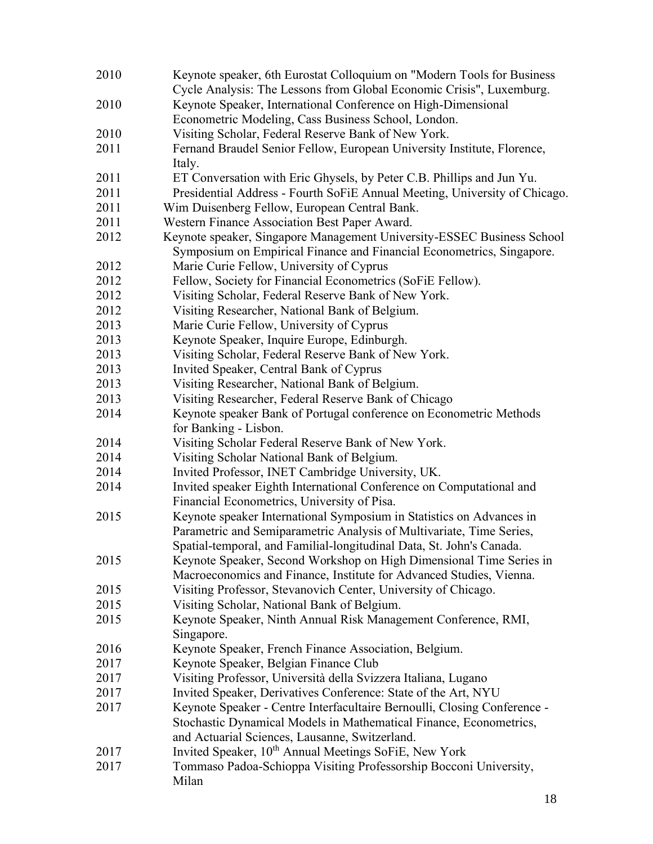| 2010 | Keynote speaker, 6th Eurostat Colloquium on "Modern Tools for Business"<br>Cycle Analysis: The Lessons from Global Economic Crisis", Luxemburg. |
|------|-------------------------------------------------------------------------------------------------------------------------------------------------|
| 2010 | Keynote Speaker, International Conference on High-Dimensional                                                                                   |
|      | Econometric Modeling, Cass Business School, London.                                                                                             |
| 2010 | Visiting Scholar, Federal Reserve Bank of New York.                                                                                             |
| 2011 | Fernand Braudel Senior Fellow, European University Institute, Florence,                                                                         |
|      | Italy.                                                                                                                                          |
| 2011 | ET Conversation with Eric Ghysels, by Peter C.B. Phillips and Jun Yu.                                                                           |
| 2011 | Presidential Address - Fourth SoFiE Annual Meeting, University of Chicago.                                                                      |
| 2011 | Wim Duisenberg Fellow, European Central Bank.                                                                                                   |
| 2011 | Western Finance Association Best Paper Award.                                                                                                   |
| 2012 | Keynote speaker, Singapore Management University-ESSEC Business School                                                                          |
|      | Symposium on Empirical Finance and Financial Econometrics, Singapore.                                                                           |
| 2012 | Marie Curie Fellow, University of Cyprus                                                                                                        |
| 2012 | Fellow, Society for Financial Econometrics (SoFiE Fellow).                                                                                      |
| 2012 | Visiting Scholar, Federal Reserve Bank of New York.                                                                                             |
| 2012 | Visiting Researcher, National Bank of Belgium.                                                                                                  |
| 2013 | Marie Curie Fellow, University of Cyprus                                                                                                        |
| 2013 | Keynote Speaker, Inquire Europe, Edinburgh.                                                                                                     |
| 2013 | Visiting Scholar, Federal Reserve Bank of New York.                                                                                             |
| 2013 | Invited Speaker, Central Bank of Cyprus                                                                                                         |
| 2013 | Visiting Researcher, National Bank of Belgium.                                                                                                  |
| 2013 | Visiting Researcher, Federal Reserve Bank of Chicago                                                                                            |
| 2014 | Keynote speaker Bank of Portugal conference on Econometric Methods                                                                              |
|      | for Banking - Lisbon.                                                                                                                           |
| 2014 | Visiting Scholar Federal Reserve Bank of New York.                                                                                              |
| 2014 | Visiting Scholar National Bank of Belgium.                                                                                                      |
| 2014 | Invited Professor, INET Cambridge University, UK.                                                                                               |
| 2014 | Invited speaker Eighth International Conference on Computational and                                                                            |
|      | Financial Econometrics, University of Pisa.                                                                                                     |
| 2015 | Keynote speaker International Symposium in Statistics on Advances in                                                                            |
|      | Parametric and Semiparametric Analysis of Multivariate, Time Series,                                                                            |
|      | Spatial-temporal, and Familial-longitudinal Data, St. John's Canada.                                                                            |
| 2015 | Keynote Speaker, Second Workshop on High Dimensional Time Series in                                                                             |
|      | Macroeconomics and Finance, Institute for Advanced Studies, Vienna.                                                                             |
| 2015 | Visiting Professor, Stevanovich Center, University of Chicago.                                                                                  |
| 2015 | Visiting Scholar, National Bank of Belgium.                                                                                                     |
| 2015 | Keynote Speaker, Ninth Annual Risk Management Conference, RMI,                                                                                  |
|      | Singapore.                                                                                                                                      |
| 2016 | Keynote Speaker, French Finance Association, Belgium.                                                                                           |
| 2017 | Keynote Speaker, Belgian Finance Club                                                                                                           |
| 2017 | Visiting Professor, Università della Svizzera Italiana, Lugano                                                                                  |
| 2017 | Invited Speaker, Derivatives Conference: State of the Art, NYU                                                                                  |
| 2017 | Keynote Speaker - Centre Interfacultaire Bernoulli, Closing Conference -                                                                        |
|      | Stochastic Dynamical Models in Mathematical Finance, Econometrics,                                                                              |
|      | and Actuarial Sciences, Lausanne, Switzerland.                                                                                                  |
| 2017 | Invited Speaker, 10 <sup>th</sup> Annual Meetings SoFiE, New York                                                                               |
| 2017 | Tommaso Padoa-Schioppa Visiting Professorship Bocconi University,<br>Milan                                                                      |